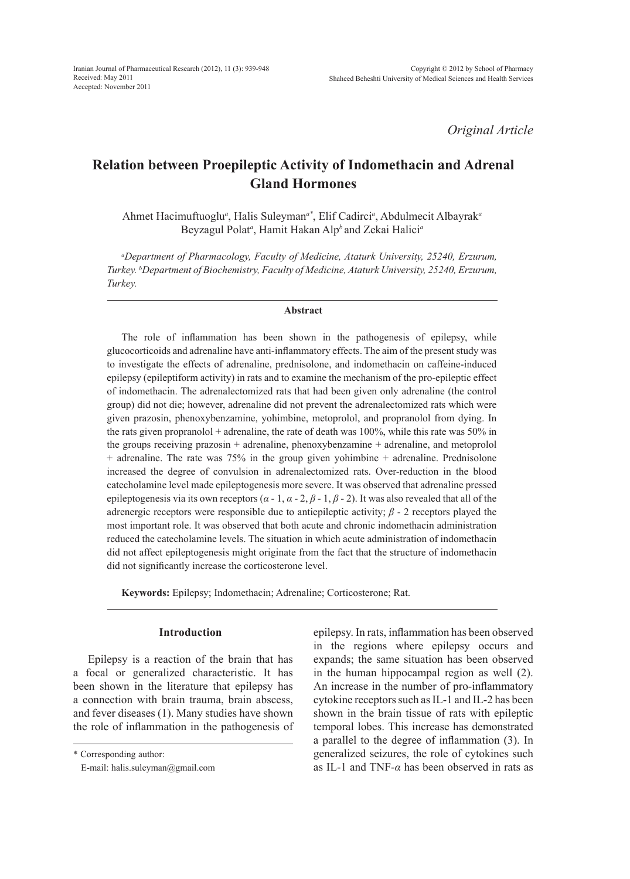*Original Article*

# **Relation between Proepileptic Activity of Indomethacin and Adrenal Gland Hormones**

Ahmet Hacimuftuoglu*<sup>a</sup>* , Halis Suleyman*a\**, Elif Cadirci*<sup>a</sup>* , Abdulmecit Albayrak*<sup>a</sup>* Beyzagul Polat*<sup>a</sup>* , Hamit Hakan Alp*<sup>b</sup>* and Zekai Halici*<sup>a</sup>*

*a Department of Pharmacology, Faculty of Medicine, Ataturk University, 25240, Erzurum, Turkey. b Department of Biochemistry, Faculty of Medicine, Ataturk University, 25240, Erzurum, Turkey.*

#### **Abstract**

The role of inflammation has been shown in the pathogenesis of epilepsy, while glucocorticoids and adrenaline have anti-inflammatory effects. The aim of the present study was to investigate the effects of adrenaline, prednisolone, and indomethacin on caffeine-induced epilepsy (epileptiform activity) in rats and to examine the mechanism of the pro-epileptic effect of indomethacin. The adrenalectomized rats that had been given only adrenaline (the control group) did not die; however, adrenaline did not prevent the adrenalectomized rats which were given prazosin, phenoxybenzamine, yohimbine, metoprolol, and propranolol from dying. In the rats given propranolol  $+$  adrenaline, the rate of death was 100%, while this rate was 50% in the groups receiving prazosin + adrenaline, phenoxybenzamine + adrenaline, and metoprolol + adrenaline. The rate was 75% in the group given yohimbine + adrenaline. Prednisolone increased the degree of convulsion in adrenalectomized rats. Over-reduction in the blood catecholamine level made epileptogenesis more severe. It was observed that adrenaline pressed epileptogenesis via its own receptors (*α* - 1, *α* - 2, *β* - 1, *β* - 2). It was also revealed that all of the adrenergic receptors were responsible due to antiepileptic activity; *β* - 2 receptors played the most important role. It was observed that both acute and chronic indomethacin administration reduced the catecholamine levels. The situation in which acute administration of indomethacin did not affect epileptogenesis might originate from the fact that the structure of indomethacin did not significantly increase the corticosterone level.

**Keywords:** Epilepsy; Indomethacin; Adrenaline; Corticosterone; Rat.

#### **Introduction**

Epilepsy is a reaction of the brain that has a focal or generalized characteristic. It has been shown in the literature that epilepsy has a connection with brain trauma, brain abscess, and fever diseases (1). Many studies have shown the role of inflammation in the pathogenesis of

\* Corresponding author:

E-mail: halis.suleyman@gmail.com

epilepsy. In rats, inflammation has been observed in the regions where epilepsy occurs and expands; the same situation has been observed in the human hippocampal region as well (2). An increase in the number of pro-inflammatory cytokine receptors such as IL-1 and IL-2 has been shown in the brain tissue of rats with epileptic temporal lobes. This increase has demonstrated a parallel to the degree of inflammation (3). In generalized seizures, the role of cytokines such as IL-1 and TNF-*α* has been observed in rats as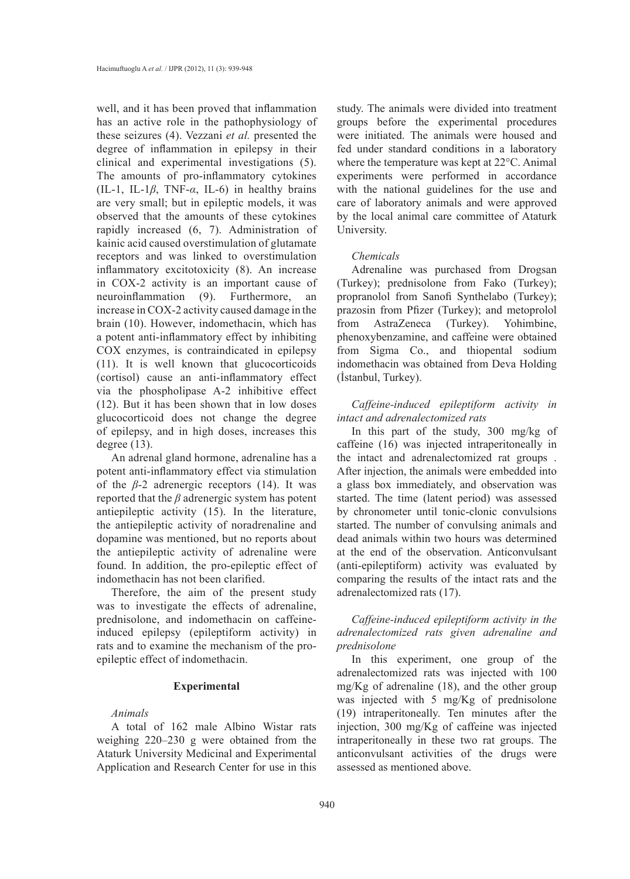well, and it has been proved that inflammation has an active role in the pathophysiology of these seizures (4). Vezzani *et al.* presented the degree of inflammation in epilepsy in their clinical and experimental investigations (5). The amounts of pro-inflammatory cytokines (IL-1, IL-1*β*, TNF-*α*, IL-6) in healthy brains are very small; but in epileptic models, it was observed that the amounts of these cytokines rapidly increased (6, 7). Administration of kainic acid caused overstimulation of glutamate receptors and was linked to overstimulation inflammatory excitotoxicity (8). An increase in COX-2 activity is an important cause of neuroinflammation (9). Furthermore, an increase in COX-2 activity caused damage in the brain (10). However, indomethacin, which has a potent anti-inflammatory effect by inhibiting COX enzymes, is contraindicated in epilepsy (11). It is well known that glucocorticoids (cortisol) cause an anti-inflammatory effect via the phospholipase A-2 inhibitive effect (12). But it has been shown that in low doses glucocorticoid does not change the degree of epilepsy, and in high doses, increases this degree  $(13)$ .

An adrenal gland hormone, adrenaline has a potent anti-inflammatory effect via stimulation of the  $\beta$ -2 adrenergic receptors (14). It was reported that the *β* adrenergic system has potent antiepileptic activity (15). In the literature, the antiepileptic activity of noradrenaline and dopamine was mentioned, but no reports about the antiepileptic activity of adrenaline were found. In addition, the pro-epileptic effect of indomethacin has not been clarified.

Therefore, the aim of the present study was to investigate the effects of adrenaline, prednisolone, and indomethacin on caffeineinduced epilepsy (epileptiform activity) in rats and to examine the mechanism of the proepileptic effect of indomethacin.

#### **Experimental**

# *Animals*

A total of 162 male Albino Wistar rats weighing 220–230 g were obtained from the Ataturk University Medicinal and Experimental Application and Research Center for use in this study. The animals were divided into treatment groups before the experimental procedures were initiated. The animals were housed and fed under standard conditions in a laboratory where the temperature was kept at 22°C. Animal experiments were performed in accordance with the national guidelines for the use and care of laboratory animals and were approved by the local animal care committee of Ataturk University.

#### *Chemicals*

Adrenaline was purchased from Drogsan (Turkey); prednisolone from Fako (Turkey); propranolol from Sanofi Synthelabo (Turkey); prazosin from Pfizer (Turkey); and metoprolol from AstraZeneca (Turkey). Yohimbine, phenoxybenzamine, and caffeine were obtained from Sigma Co., and thiopental sodium indomethacin was obtained from Deva Holding (İstanbul, Turkey).

*Caffeine-induced epileptiform activity in intact and adrenalectomized rats*

In this part of the study, 300 mg/kg of caffeine (16) was injected intraperitoneally in the intact and adrenalectomized rat groups . After injection, the animals were embedded into a glass box immediately, and observation was started. The time (latent period) was assessed by chronometer until tonic-clonic convulsions started. The number of convulsing animals and dead animals within two hours was determined at the end of the observation. Anticonvulsant (anti-epileptiform) activity was evaluated by comparing the results of the intact rats and the adrenalectomized rats (17).

*Caffeine-induced epileptiform activity in the adrenalectomized rats given adrenaline and prednisolone*

In this experiment, one group of the adrenalectomized rats was injected with 100 mg/Kg of adrenaline (18), and the other group was injected with 5 mg/Kg of prednisolone (19) intraperitoneally. Ten minutes after the injection, 300 mg/Kg of caffeine was injected intraperitoneally in these two rat groups. The anticonvulsant activities of the drugs were assessed as mentioned above.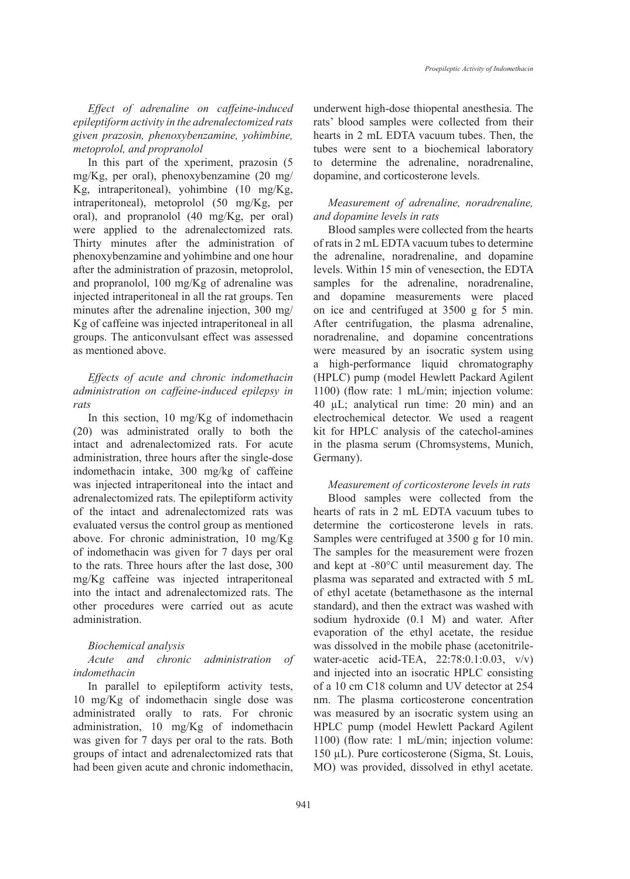*Effect of adrenaline on caffeine-induced epileptiform activity in the adrenalectomized rats given prazosin, phenoxybenzamine, yohimbine, metoprolol, and propranolol*

In this part of the xperiment, prazosin (5 mg/Kg, per oral), phenoxybenzamine (20 mg/ Kg, intraperitoneal), yohimbine (10 mg/Kg, intraperitoneal), metoprolol (50 mg/Kg, per oral), and propranolol (40 mg/Kg, per oral) were applied to the adrenalectomized rats. Thirty minutes after the administration of phenoxybenzamine and yohimbine and one hour after the administration of prazosin, metoprolol, and propranolol, 100 mg/Kg of adrenaline was injected intraperitoneal in all the rat groups. Ten minutes after the adrenaline injection, 300 mg/ Kg of caffeine was injected intraperitoneal in all groups. The anticonvulsant effect was assessed as mentioned above.

# *Effects of acute and chronic indomethacin administration on caffeine-induced epilepsy in rats*

In this section, 10 mg/Kg of indomethacin (20) was administrated orally to both the intact and adrenalectomized rats. For acute administration, three hours after the single-dose indomethacin intake, 300 mg/kg of caffeine was injected intraperitoneal into the intact and adrenalectomized rats. The epileptiform activity of the intact and adrenalectomized rats was evaluated versus the control group as mentioned above. For chronic administration, 10 mg/Kg of indomethacin was given for 7 days per oral to the rats. Three hours after the last dose, 300 mg/Kg caffeine was injected intraperitoneal into the intact and adrenalectomized rats. The other procedures were carried out as acute administration.

## *Biochemical analysis*

## *Acute and chronic administration of indomethacin*

In parallel to epileptiform activity tests, 10 mg/Kg of indomethacin single dose was administrated orally to rats. For chronic administration, 10 mg/Kg of indomethacin was given for 7 days per oral to the rats. Both groups of intact and adrenalectomized rats that had been given acute and chronic indomethacin, underwent high-dose thiopental anesthesia. The rats' blood samples were collected from their hearts in 2 mL EDTA vacuum tubes. Then, the tubes were sent to a biochemical laboratory to determine the adrenaline, noradrenaline, dopamine, and corticosterone levels.

# *Measurement of adrenaline, noradrenaline, and dopamine levels in rats*

Blood samples were collected from the hearts of rats in 2 mL EDTA vacuum tubes to determine the adrenaline, noradrenaline, and dopamine levels. Within 15 min of venesection, the EDTA samples for the adrenaline, noradrenaline, and dopamine measurements were placed on ice and centrifuged at 3500 g for 5 min. After centrifugation, the plasma adrenaline, noradrenaline, and dopamine concentrations were measured by an isocratic system using a high-performance liquid chromatography (HPLC) pump (model Hewlett Packard Agilent 1100) (flow rate: 1 mL/min; injection volume: 40 µL; analytical run time: 20 min) and an electrochemical detector. We used a reagent kit for HPLC analysis of the catechol-amines in the plasma serum (Chromsystems, Munich, Germany).

#### *Measurement of corticosterone levels in rats*

Blood samples were collected from the hearts of rats in 2 mL EDTA vacuum tubes to determine the corticosterone levels in rats. Samples were centrifuged at 3500 g for 10 min. The samples for the measurement were frozen and kept at -80°C until measurement day. The plasma was separated and extracted with 5 mL of ethyl acetate (betamethasone as the internal standard), and then the extract was washed with sodium hydroxide (0.1 M) and water. After evaporation of the ethyl acetate, the residue was dissolved in the mobile phase (acetonitrilewater-acetic acid-TEA, 22:78:0.1:0.03, v/v) and injected into an isocratic HPLC consisting of a 10 cm C18 column and UV detector at 254 nm. The plasma corticosterone concentration was measured by an isocratic system using an HPLC pump (model Hewlett Packard Agilent 1100) (flow rate: 1 mL/min; injection volume: 150 µL). Pure corticosterone (Sigma, St. Louis, MO) was provided, dissolved in ethyl acetate.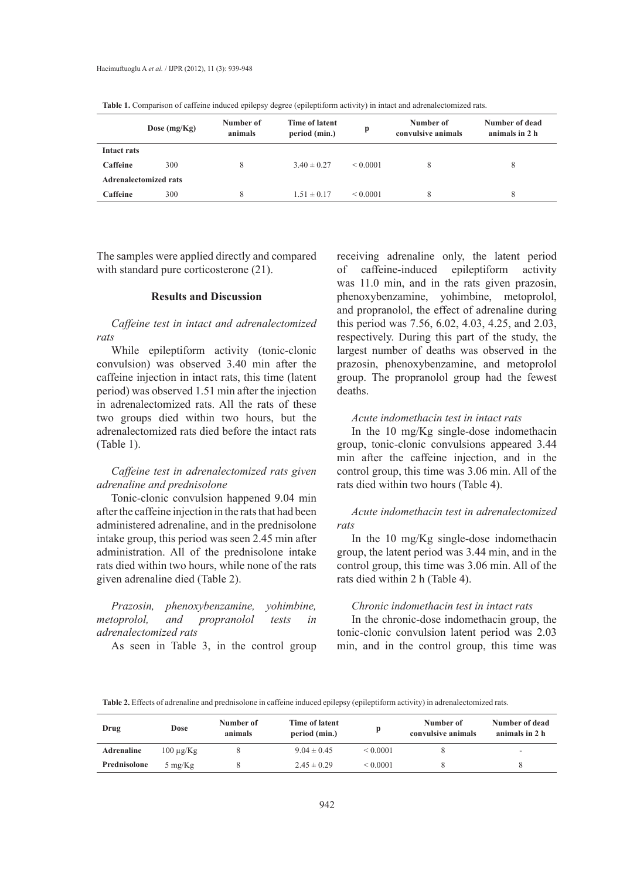|             | Dose $(mg/Kg)$               | Number of<br>animals | Time of latent<br>period (min.) | p             | Number of<br>convulsive animals | Number of dead<br>animals in 2 h |  |  |  |  |
|-------------|------------------------------|----------------------|---------------------------------|---------------|---------------------------------|----------------------------------|--|--|--|--|
| Intact rats |                              |                      |                                 |               |                                 |                                  |  |  |  |  |
| Caffeine    | 300                          |                      | $3.40 \pm 0.27$                 | $\leq 0.0001$ | 8                               | 8                                |  |  |  |  |
|             | <b>Adrenalectomized rats</b> |                      |                                 |               |                                 |                                  |  |  |  |  |
| Caffeine    | 300                          |                      | $1.51 \pm 0.17$                 | < 0.0001      | 8                               | 8                                |  |  |  |  |

**Table 1.** Comparison of caffeine induced epilepsy degree (epileptiform activity) in intact and adrenalectomized rats.

The samples were applied directly and compared with standard pure corticosterone  $(21)$ .

#### **Results and Discussion**

*Caffeine test in intact and adrenalectomized rats*

While epileptiform activity (tonic-clonic convulsion) was observed 3.40 min after the caffeine injection in intact rats, this time (latent period) was observed 1.51 min after the injection in adrenalectomized rats. All the rats of these two groups died within two hours, but the adrenalectomized rats died before the intact rats (Table 1).

## *Caffeine test in adrenalectomized rats given adrenaline and prednisolone*

Tonic-clonic convulsion happened 9.04 min after the caffeine injection in the rats that had been administered adrenaline, and in the prednisolone intake group, this period was seen 2.45 min after administration. All of the prednisolone intake rats died within two hours, while none of the rats given adrenaline died (Table 2).

*Prazosin, phenoxybenzamine, yohimbine, metoprolol, and propranolol tests in adrenalectomized rats*

As seen in Table 3, in the control group

receiving adrenaline only, the latent period of caffeine-induced epileptiform activity was 11.0 min, and in the rats given prazosin, phenoxybenzamine, yohimbine, metoprolol, and propranolol, the effect of adrenaline during this period was 7.56, 6.02, 4.03, 4.25, and 2.03, respectively. During this part of the study, the largest number of deaths was observed in the prazosin, phenoxybenzamine, and metoprolol group. The propranolol group had the fewest deaths.

#### *Acute indomethacin test in intact rats*

In the 10 mg/Kg single-dose indomethacin group, tonic-clonic convulsions appeared 3.44 min after the caffeine injection, and in the control group, this time was 3.06 min. All of the rats died within two hours (Table 4).

# *Acute indomethacin test in adrenalectomized rats*

In the 10 mg/Kg single-dose indomethacin group, the latent period was 3.44 min, and in the control group, this time was 3.06 min. All of the rats died within 2 h (Table 4).

## *Chronic indomethacin test in intact rats*

In the chronic-dose indomethacin group, the tonic-clonic convulsion latent period was 2.03 min, and in the control group, this time was

**Table 2.** Effects of adrenaline and prednisolone in caffeine induced epilepsy (epileptiform activity) in adrenalectomized rats.

| Drug              | Dose              | Number of<br>animals | Time of latent<br>period (min.) |          | Number of<br>convulsive animals | Number of dead<br>animals in 2 h |
|-------------------|-------------------|----------------------|---------------------------------|----------|---------------------------------|----------------------------------|
| <b>Adrenaline</b> | $100 \mu g/Kg$    |                      | $9.04 \pm 0.45$                 | < 0.0001 |                                 |                                  |
| Prednisolone      | $5 \text{ mg/Kg}$ |                      | $2.45 \pm 0.29$                 | < 0.0001 |                                 |                                  |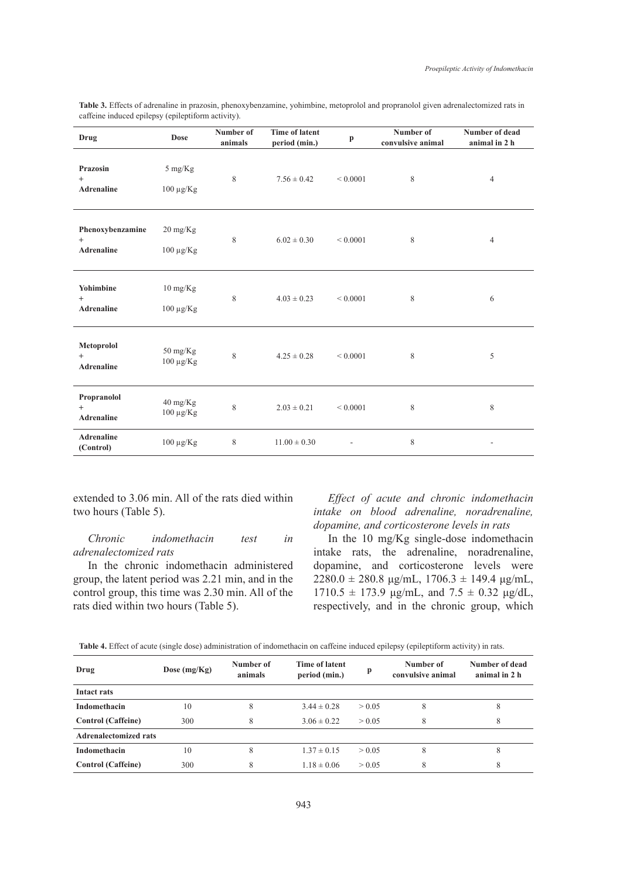|  |  |                                                    |  | <b>Table 3.</b> Effects of adrenaline in prazosin, phenoxybenzamine, yohimbine, metoprolol and propranolol given adrenalectomized rats in |  |  |  |
|--|--|----------------------------------------------------|--|-------------------------------------------------------------------------------------------------------------------------------------------|--|--|--|
|  |  | caffeine induced epilepsy (epileptiform activity). |  |                                                                                                                                           |  |  |  |

| Drug                                            | Dose                                 | Number of<br>animals | <b>Time of latent</b><br>period (min.) | p            | Number of<br>convulsive animal | Number of dead<br>animal in 2 h |
|-------------------------------------------------|--------------------------------------|----------------------|----------------------------------------|--------------|--------------------------------|---------------------------------|
| Prazosin<br>$^{+}$<br><b>Adrenaline</b>         | $5 \text{ mg/Kg}$<br>$100 \mu g/Kg$  | 8                    | $7.56 \pm 0.42$                        | ${}< 0.0001$ | 8                              | $\overline{4}$                  |
| Phenoxybenzamine<br>$^{+}$<br><b>Adrenaline</b> | $20 \text{ mg/Kg}$<br>$100 \mu g/Kg$ | 8                    | $6.02 \pm 0.30$                        | ${}< 0.0001$ | 8                              | $\overline{4}$                  |
| Yohimbine<br>$^{+}$<br><b>Adrenaline</b>        | $10 \text{ mg/Kg}$<br>$100 \mu g/Kg$ | 8                    | $4.03 \pm 0.23$                        | ${}< 0.0001$ | 8                              | 6                               |
| Metoprolol<br>$^{+}$<br><b>Adrenaline</b>       | 50 mg/Kg<br>$100 \mu g/Kg$           | 8                    | $4.25 \pm 0.28$                        | ${}< 0.0001$ | 8                              | 5                               |
| Propranolol<br>$^{+}$<br><b>Adrenaline</b>      | 40 mg/Kg<br>$100 \mu g/Kg$           | $\,$ 8 $\,$          | $2.03 \pm 0.21$                        | ${}< 0.0001$ | 8                              | 8                               |
| <b>Adrenaline</b><br>(Control)                  | $100 \mu g/Kg$                       | 8                    | $11.00 \pm 0.30$                       |              | 8                              |                                 |

extended to 3.06 min. All of the rats died within two hours (Table 5).

*Chronic indomethacin test in adrenalectomized rats*

In the chronic indomethacin administered group, the latent period was 2.21 min, and in the control group, this time was 2.30 min. All of the rats died within two hours (Table 5).

*Effect of acute and chronic indomethacin intake on blood adrenaline, noradrenaline, dopamine, and corticosterone levels in rats*

In the 10 mg/Kg single-dose indomethacin intake rats, the adrenaline, noradrenaline, dopamine, and corticosterone levels were  $2280.0 \pm 280.8 \text{ µg/mL}, 1706.3 \pm 149.4 \text{ µg/mL},$  $1710.5 \pm 173.9$   $\mu$ g/mL, and  $7.5 \pm 0.32$   $\mu$ g/dL, respectively, and in the chronic group, which

| Table 4. Effect of acute (single dose) administration of indomethacin on caffeine induced epilepsy (epileptiform activity) in rats. |  |  |  |  |
|-------------------------------------------------------------------------------------------------------------------------------------|--|--|--|--|
|                                                                                                                                     |  |  |  |  |

| Drug                         | Dose $(mg/Kg)$ | Number of<br>animals | Time of latent<br>period (min.) | p      | Number of<br>convulsive animal | Number of dead<br>animal in 2 h |
|------------------------------|----------------|----------------------|---------------------------------|--------|--------------------------------|---------------------------------|
| Intact rats                  |                |                      |                                 |        |                                |                                 |
| Indomethacin                 | 10             | 8                    | $3.44 \pm 0.28$                 | > 0.05 | 8                              | δ                               |
| <b>Control</b> (Caffeine)    | 300            | 8                    | $3.06 \pm 0.22$                 | > 0.05 | 8                              | 8                               |
| <b>Adrenalectomized rats</b> |                |                      |                                 |        |                                |                                 |
| Indomethacin                 | 10             | 8                    | $1.37 \pm 0.15$                 | > 0.05 | 8                              |                                 |
| <b>Control</b> (Caffeine)    | 300            | 8                    | $1.18 \pm 0.06$                 | > 0.05 | 8                              | 8                               |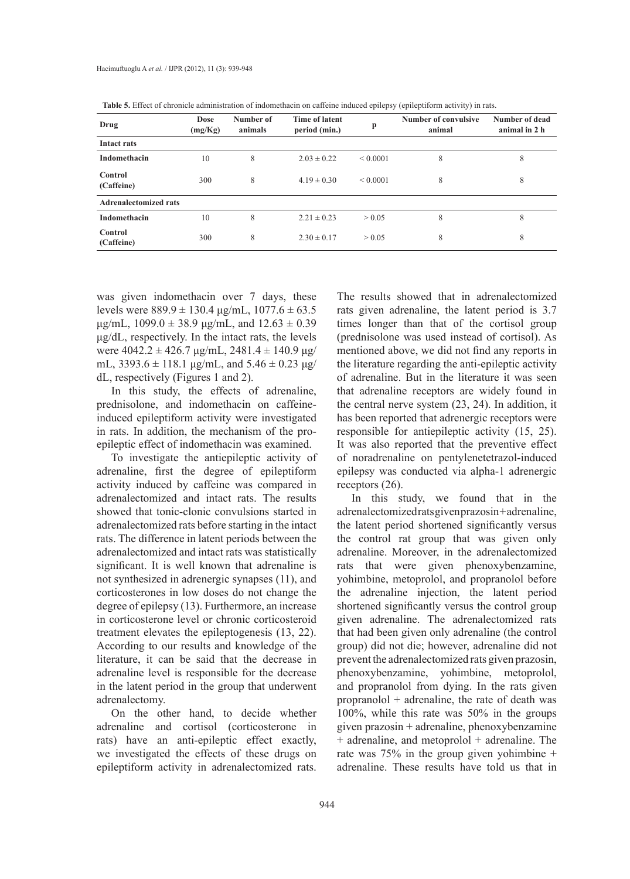| Drug                         | Dose<br>(mg/Kg) | Number of<br>animals | <b>Time of latent</b><br>period (min.) | p             | Number of convulsive<br>animal | Number of dead<br>animal in 2 h |
|------------------------------|-----------------|----------------------|----------------------------------------|---------------|--------------------------------|---------------------------------|
| Intact rats                  |                 |                      |                                        |               |                                |                                 |
| Indomethacin                 | 10              | 8                    | $2.03 \pm 0.22$                        | $\leq 0.0001$ | 8                              | 8                               |
| Control<br>(Caffeine)        | 300             | 8                    | $4.19 \pm 0.30$                        | $\leq 0.0001$ | 8                              | 8                               |
| <b>Adrenalectomized rats</b> |                 |                      |                                        |               |                                |                                 |
| Indomethacin                 | 10              | 8                    | $2.21 \pm 0.23$                        | > 0.05        | 8                              | 8                               |
| Control<br>(Caffeine)        | 300             | 8                    | $2.30 \pm 0.17$                        | > 0.05        | 8                              | 8                               |

**Table 5.** Effect of chronicle administration of indomethacin on caffeine induced epilepsy (epileptiform activity) in rats.

was given indomethacin over 7 days, these levels were  $889.9 \pm 130.4 \text{ µg/mL}$ ,  $1077.6 \pm 63.5$  $\mu$ g/mL, 1099.0 ± 38.9  $\mu$ g/mL, and 12.63 ± 0.39 μg/dL, respectively. In the intact rats, the levels were  $4042.2 \pm 426.7 \text{ µg/mL}, 2481.4 \pm 140.9 \text{ µg/}$ mL,  $3393.6 \pm 118.1 \text{ µg/mL}$ , and  $5.46 \pm 0.23 \text{ µg}$ dL, respectively (Figures 1 and 2).

In this study, the effects of adrenaline, prednisolone, and indomethacin on caffeineinduced epileptiform activity were investigated in rats. In addition, the mechanism of the proepileptic effect of indomethacin was examined.

To investigate the antiepileptic activity of adrenaline, first the degree of epileptiform activity induced by caffeine was compared in adrenalectomized and intact rats. The results showed that tonic-clonic convulsions started in adrenalectomized rats before starting in the intact rats. The difference in latent periods between the adrenalectomized and intact rats was statistically significant. It is well known that adrenaline is not synthesized in adrenergic synapses (11), and corticosterones in low doses do not change the degree of epilepsy (13). Furthermore, an increase in corticosterone level or chronic corticosteroid treatment elevates the epileptogenesis (13, 22). According to our results and knowledge of the literature, it can be said that the decrease in adrenaline level is responsible for the decrease in the latent period in the group that underwent adrenalectomy.

On the other hand, to decide whether adrenaline and cortisol (corticosterone in rats) have an anti-epileptic effect exactly, we investigated the effects of these drugs on epileptiform activity in adrenalectomized rats. The results showed that in adrenalectomized rats given adrenaline, the latent period is 3.7 times longer than that of the cortisol group (prednisolone was used instead of cortisol). As mentioned above, we did not find any reports in the literature regarding the anti-epileptic activity of adrenaline. But in the literature it was seen that adrenaline receptors are widely found in the central nerve system (23, 24). In addition, it has been reported that adrenergic receptors were responsible for antiepileptic activity (15, 25). It was also reported that the preventive effect of noradrenaline on pentylenetetrazol-induced epilepsy was conducted via alpha-1 adrenergic receptors (26).

In this study, we found that in the adrenalectomized rats given prazosin + adrenaline, the latent period shortened significantly versus the control rat group that was given only adrenaline. Moreover, in the adrenalectomized rats that were given phenoxybenzamine, yohimbine, metoprolol, and propranolol before the adrenaline injection, the latent period shortened significantly versus the control group given adrenaline. The adrenalectomized rats that had been given only adrenaline (the control group) did not die; however, adrenaline did not prevent the adrenalectomized rats given prazosin, phenoxybenzamine, yohimbine, metoprolol, and propranolol from dying. In the rats given propranolol + adrenaline, the rate of death was 100%, while this rate was 50% in the groups given prazosin + adrenaline, phenoxybenzamine + adrenaline, and metoprolol + adrenaline. The rate was 75% in the group given yohimbine + adrenaline. These results have told us that in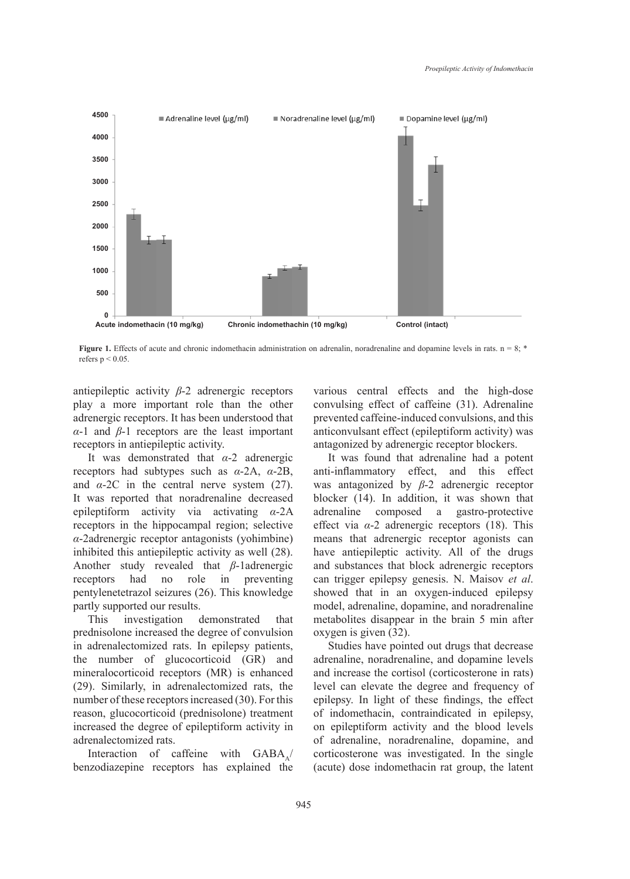

**Figure 1.** Effects of acute and chronic indomethacin administration on adrenalin, noradrenaline and dopamine levels in rats.  $n = 8$ ; \* refers  $p < 0.05$ .

antiepileptic activity *β*-2 adrenergic receptors play a more important role than the other adrenergic receptors. It has been understood that *α*-1 and *β*-1 receptors are the least important receptors in antiepileptic activity.

It was demonstrated that *α*-2 adrenergic receptors had subtypes such as *α*-2A, *α*-2B, and  $\alpha$ -2C in the central nerve system (27). It was reported that noradrenaline decreased epileptiform activity via activating *α*-2A receptors in the hippocampal region; selective *α*-2adrenergic receptor antagonists (yohimbine) inhibited this antiepileptic activity as well (28). Another study revealed that *β*-1adrenergic receptors had no role in preventing pentylenetetrazol seizures (26). This knowledge partly supported our results.

This investigation demonstrated that prednisolone increased the degree of convulsion in adrenalectomized rats. In epilepsy patients, the number of glucocorticoid (GR) and mineralocorticoid receptors (MR) is enhanced (29). Similarly, in adrenalectomized rats, the number of these receptors increased (30). For this reason, glucocorticoid (prednisolone) treatment increased the degree of epileptiform activity in adrenalectomized rats.

Interaction of caffeine with  $GABA$ benzodiazepine receptors has explained the various central effects and the high-dose convulsing effect of caffeine (31). Adrenaline prevented caffeine-induced convulsions, and this anticonvulsant effect (epileptiform activity) was antagonized by adrenergic receptor blockers.

It was found that adrenaline had a potent anti-inflammatory effect, and this effect was antagonized by *β*-2 adrenergic receptor blocker (14). In addition, it was shown that adrenaline composed a gastro-protective effect via *α*-2 adrenergic receptors (18). This means that adrenergic receptor agonists can have antiepileptic activity. All of the drugs and substances that block adrenergic receptors can trigger epilepsy genesis. N. Maisov *et al*. showed that in an oxygen-induced epilepsy model, adrenaline, dopamine, and noradrenaline metabolites disappear in the brain 5 min after oxygen is given (32).

Studies have pointed out drugs that decrease adrenaline, noradrenaline, and dopamine levels and increase the cortisol (corticosterone in rats) level can elevate the degree and frequency of epilepsy. In light of these findings, the effect of indomethacin, contraindicated in epilepsy, on epileptiform activity and the blood levels of adrenaline, noradrenaline, dopamine, and corticosterone was investigated. In the single (acute) dose indomethacin rat group, the latent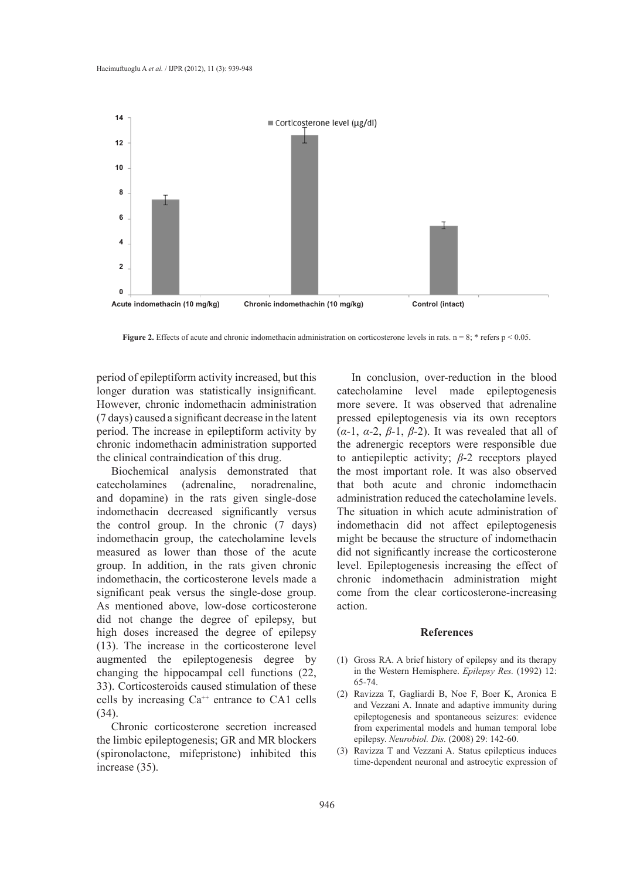

**Figure 2.** Effects of acute and chronic indomethacin administration on corticosterone levels in rats.  $n = 8$ ; \* refers  $p < 0.05$ .

period of epileptiform activity increased, but this longer duration was statistically insignificant. However, chronic indomethacin administration (7 days) caused a significant decrease in the latent period. The increase in epileptiform activity by chronic indomethacin administration supported the clinical contraindication of this drug.

Biochemical analysis demonstrated that catecholamines (adrenaline, noradrenaline, and dopamine) in the rats given single-dose indomethacin decreased significantly versus the control group. In the chronic (7 days) indomethacin group, the catecholamine levels measured as lower than those of the acute group. In addition, in the rats given chronic indomethacin, the corticosterone levels made a significant peak versus the single-dose group. As mentioned above, low-dose corticosterone did not change the degree of epilepsy, but high doses increased the degree of epilepsy (13). The increase in the corticosterone level augmented the epileptogenesis degree by changing the hippocampal cell functions (22, 33). Corticosteroids caused stimulation of these cells by increasing  $Ca^{++}$  entrance to CA1 cells (34).

Chronic corticosterone secretion increased the limbic epileptogenesis; GR and MR blockers (spironolactone, mifepristone) inhibited this increase (35).

In conclusion, over-reduction in the blood catecholamine level made epileptogenesis more severe. It was observed that adrenaline pressed epileptogenesis via its own receptors (*α*-1, *α*-2, *β*-1, *β*-2). It was revealed that all of the adrenergic receptors were responsible due to antiepileptic activity; *β*-2 receptors played the most important role. It was also observed that both acute and chronic indomethacin administration reduced the catecholamine levels. The situation in which acute administration of indomethacin did not affect epileptogenesis might be because the structure of indomethacin did not significantly increase the corticosterone level. Epileptogenesis increasing the effect of chronic indomethacin administration might come from the clear corticosterone-increasing action.

#### **References**

- Gross RA. A brief history of epilepsy and its therapy (1) in the Western Hemisphere. *Epilepsy Res.* (1992) 12: 65-74.
- Ravizza T, Gagliardi B, Noe F, Boer K, Aronica E (2) and Vezzani A. Innate and adaptive immunity during epileptogenesis and spontaneous seizures: evidence from experimental models and human temporal lobe epilepsy. *Neurobiol. Dis.* (2008) 29: 142-60.
- (3) Ravizza T and Vezzani A. Status epilepticus induces time-dependent neuronal and astrocytic expression of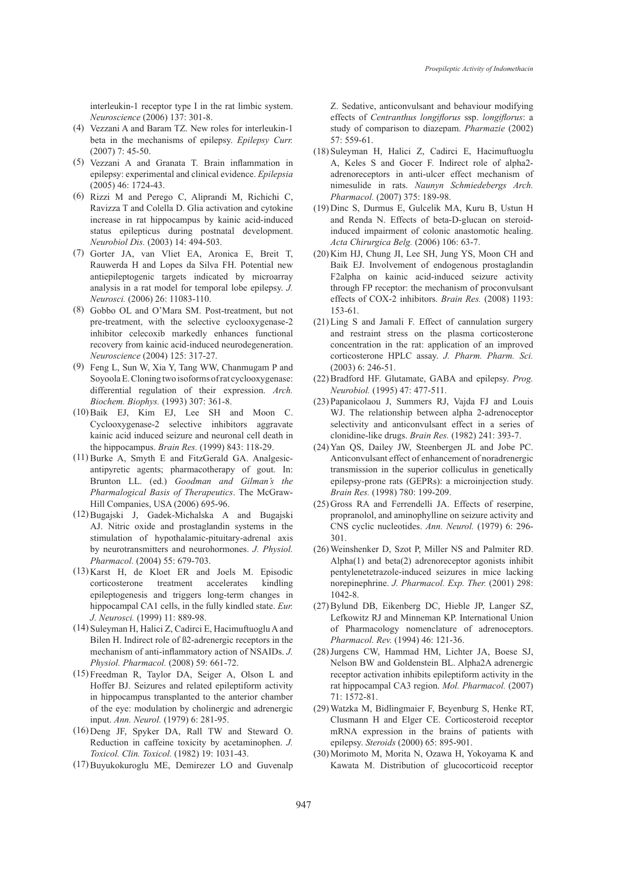interleukin-1 receptor type I in the rat limbic system. *Neuroscience* (2006) 137: 301-8.

- Vezzani A and Baram TZ. New roles for interleukin-1 (4) beta in the mechanisms of epilepsy. *Epilepsy Curr.* (2007) 7: 45-50.
- Vezzani A and Granata T. Brain inflammation in (5) epilepsy: experimental and clinical evidence. *Epilepsia* (2005) 46: 1724-43.
- $(6)$  Rizzi M and Perego C, Aliprandi M, Richichi C, Ravizza T and Colella D. Glia activation and cytokine increase in rat hippocampus by kainic acid-induced status epilepticus during postnatal development. *Neurobiol Dis.* (2003) 14: 494-503.
- Gorter JA, van Vliet EA, Aronica E, Breit T, (7) Rauwerda H and Lopes da Silva FH. Potential new antiepileptogenic targets indicated by microarray analysis in a rat model for temporal lobe epilepsy. *J. Neurosci.* (2006) 26: 11083-110.
- Gobbo OL and O'Mara SM. Post-treatment, but not (8) pre-treatment, with the selective cyclooxygenase-2 inhibitor celecoxib markedly enhances functional recovery from kainic acid-induced neurodegeneration. *Neuroscience* (2004) 125: 317-27.
- Feng L, Sun W, Xia Y, Tang WW, Chanmugam P and (9) Soyoola E. Cloning two isoforms of rat cyclooxygenase: differential regulation of their expression. *Arch. Biochem. Biophys.* (1993) 307: 361-8.
- $(10)$  Baik EJ, Kim EJ, Lee SH and Moon C. Cyclooxygenase-2 selective inhibitors aggravate kainic acid induced seizure and neuronal cell death in the hippocampus. *Brain Res.* (1999) 843: 118-29.
- $(11)$  Burke A, Smyth E and FitzGerald GA. Analgesicantipyretic agents; pharmacotherapy of gout. In: Brunton LL. (ed.) *Goodman and Gilman's the Pharmalogical Basis of Therapeutics*. The McGraw-Hill Companies, USA (2006) 695-96.
- Bugajski J, Gadek-Michalska A and Bugajski (12) AJ. Nitric oxide and prostaglandin systems in the stimulation of hypothalamic-pituitary-adrenal axis by neurotransmitters and neurohormones. *J. Physiol. Pharmacol.* (2004) 55: 679-703.
- $(13)$  Karst H, de Kloet ER and Joels M. Episodic corticosterone treatment accelerates kindling epileptogenesis and triggers long-term changes in hippocampal CA1 cells, in the fully kindled state. *Eur. J. Neurosci.* (1999) 11: 889-98.
- (14) Suleyman H, Halici Z, Cadirci E, Hacimuftuoglu A and Bilen H. Indirect role of ß2-adrenergic receptors in the mechanism of anti-inflammatory action of NSAIDs. *J. Physiol. Pharmacol.* (2008) 59: 661-72.
- (15) Freedman R, Taylor DA, Seiger A, Olson L and Hoffer BJ. Seizures and related epileptiform activity in hippocampus transplanted to the anterior chamber of the eye: modulation by cholinergic and adrenergic input. *Ann. Neurol.* (1979) 6: 281-95.
- $(16)$  Deng JF, Spyker DA, Rall TW and Steward O. Reduction in caffeine toxicity by acetaminophen. *J. Toxicol. Clin. Toxicol.* (1982) 19: 1031-43.
- (17) Buyukokuroglu ME, Demirezer LO and Guvenalp

Z. Sedative, anticonvulsant and behaviour modifying effects of *Centranthus longiflorus* ssp. *longiflorus*: a study of comparison to diazepam. *Pharmazie* (2002) 57: 559-61.

- (18) Suleyman H, Halici Z, Cadirci E, Hacimuftuoglu A, Keles S and Gocer F. Indirect role of alpha2 adrenoreceptors in anti-ulcer effect mechanism of nimesulide in rats. *Naunyn Schmiedebergs Arch. Pharmacol.* (2007) 375: 189-98.
- (19) Dinc S, Durmus E, Gulcelik MA, Kuru B, Ustun H and Renda N. Effects of beta-D-glucan on steroidinduced impairment of colonic anastomotic healing. *Acta Chirurgica Belg.* (2006) 106: 63-7.
- (20) Kim HJ, Chung JI, Lee SH, Jung YS, Moon CH and Baik EJ. Involvement of endogenous prostaglandin F2alpha on kainic acid-induced seizure activity through FP receptor: the mechanism of proconvulsant effects of COX-2 inhibitors. *Brain Res.* (2008) 1193: 153-61.
- $(21)$  Ling S and Jamali F. Effect of cannulation surgery and restraint stress on the plasma corticosterone concentration in the rat: application of an improved corticosterone HPLC assay. *J. Pharm. Pharm. Sci.* (2003) 6: 246-51.
- Bradford HF. Glutamate, GABA and epilepsy. *Prog.*  (22) *Neurobiol.* (1995) 47: 477-511.
- (23) Papanicolaou J, Summers RJ, Vajda FJ and Louis WJ. The relationship between alpha 2-adrenoceptor selectivity and anticonvulsant effect in a series of clonidine-like drugs. *Brain Res.* (1982) 241: 393-7.
- (24) Yan QS, Dailey JW, Steenbergen JL and Jobe PC. Anticonvulsant effect of enhancement of noradrenergic transmission in the superior colliculus in genetically epilepsy-prone rats (GEPRs): a microinjection study. *Brain Res.* (1998) 780: 199-209.
- (25) Gross RA and Ferrendelli JA. Effects of reserpine, propranolol, and aminophylline on seizure activity and CNS cyclic nucleotides. *Ann. Neurol.* (1979) 6: 296- 301.
- Weinshenker D, Szot P, Miller NS and Palmiter RD. (26) Alpha(1) and beta(2) adrenoreceptor agonists inhibit pentylenetetrazole-induced seizures in mice lacking norepinephrine. *J. Pharmacol. Exp. Ther.* (2001) 298: 1042-8.
- Bylund DB, Eikenberg DC, Hieble JP, Langer SZ, (27) Lefkowitz RJ and Minneman KP. International Union of Pharmacology nomenclature of adrenoceptors. *Pharmacol. Rev.* (1994) 46: 121-36.
- (28) Jurgens CW, Hammad HM, Lichter JA, Boese SJ, Nelson BW and Goldenstein BL. Alpha2A adrenergic receptor activation inhibits epileptiform activity in the rat hippocampal CA3 region. *Mol. Pharmacol.* (2007) 71: 1572-81.
- Watzka M, Bidlingmaier F, Beyenburg S, Henke RT, (29) Clusmann H and Elger CE. Corticosteroid receptor mRNA expression in the brains of patients with epilepsy. *Steroids* (2000) 65: 895-901.
- (30) Morimoto M, Morita N, Ozawa H, Yokoyama K and Kawata M. Distribution of glucocorticoid receptor